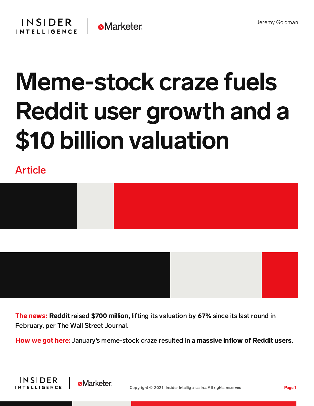

## Meme-stock craze fuels Reddit user growth and a \$10 billion valuation

Article



The news: Reddit raised \$700 million, lifting its valuation by 67% since its last round in February, per The Wall Street Journal.

How we got here: January's meme-stock craze resulted in a massive inflow of Reddit users.



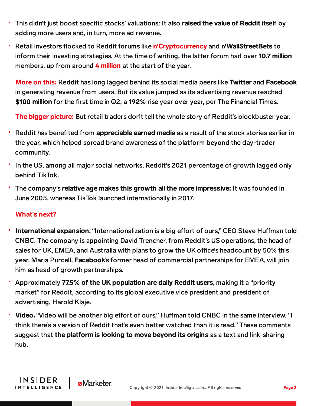- This didn't just boost specific stocks' valuations: It also raised the value of Reddit itself by adding more users and, in turn, more ad revenue.
- Retail investors flocked to Reddit forums like [r/Cryptocurrency](https://content-na1.emarketer.com/social-media-like-reddit-outweighs-traditional-risk-reward-assessments-young-retail-investors-strategize) and r/WallStreetBets to inform their investing strategies. At the time of writing, the latter forum had over 10.7 million members, up from around  $4$  [million](https://www.businessinsider.com/wallstreetbets-fastest-growing-subreddit-hits-58-million-users-2021-1?r=US&IR=T) at the start of the year.

More on this: Reddit has long lagged behind its social media peers like Twitter and Facebook in generating revenue from users. But its value jumped as its advertising revenue reached \$100 million for the first time in Q2, a 192% rise year over year, per The Financial Times.

The bigger picture: But retail traders don't tell the whole story of Reddit's blockbuster year.

- Reddit has benefited from appreciable earned media as a result of the stock stories earlier in the year, which helped spread brand awareness of the platform beyond the day-trader community.
- In the US, among all major social networks, Reddit's 2021 percentage of growth lagged only behind TikTok.
- The company's relative age makes this growth all the more impressive: It was founded in June 2005, whereas TikTok launched internationally in 2017.

## What**'**s next?

**INSIDER** 

**INTELLIGENCE** 

**e**Marketer

- International expansion. "Internationalization is a big effort of ours," CEO Steve Huffman told CNBC. The company is appointing David Trencher, from Reddit's US operations, the head of sales for UK, EMEA, and Australia with plans to grow the UK office's headcount by 50% this year. Maria Purcell, Facebook's former head of commercial partnerships for EMEA, will join him as head of growth partnerships.
- Approximately 77.5% of the UK population are daily Reddit users, making it a "priority market" for Reddit, according to its global executive vice president and president of advertising, Harold Klaje.
- Video. "Video will be another big effort of ours," Huffman told CNBC in the same interview. "I think there's a version of Reddit that's even better watched than it is read." These comments suggest that the platform is looking to move beyond its origins as a text and link-sharing hub.